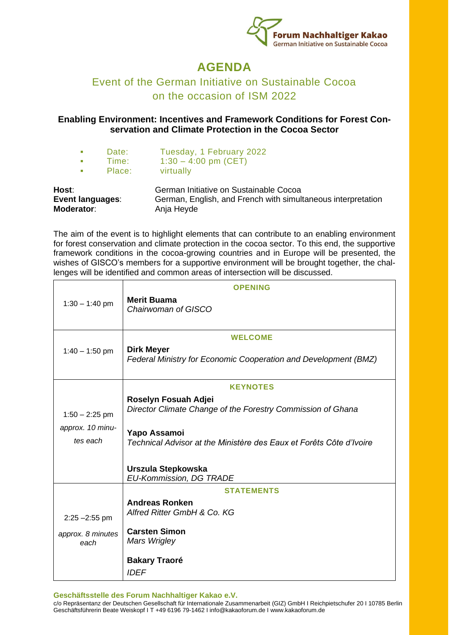

## **AGENDA**

## Event of the German Initiative on Sustainable Cocoa on the occasion of ISM 2022

## **Enabling Environment: Incentives and Framework Conditions for Forest Conservation and Climate Protection in the Cocoa Sector**

- Date: Tuesday, 1 February 2022
- **•** Time:  $1:30 4:00$  pm (CET)<br>**•** Place: virtually
- **■** Place: virtually

| Host:             | German Initiative on Sustainable Cocoa                       |
|-------------------|--------------------------------------------------------------|
| Event languages:  | German, English, and French with simultaneous interpretation |
| <b>Moderator:</b> | Anja Heyde                                                   |

The aim of the event is to highlight elements that can contribute to an enabling environment for forest conservation and climate protection in the cocoa sector. To this end, the supportive framework conditions in the cocoa-growing countries and in Europe will be presented, the wishes of GISCO's members for a supportive environment will be brought together, the challenges will be identified and common areas of intersection will be discussed.

|                   | <b>OPENING</b>                                                                      |
|-------------------|-------------------------------------------------------------------------------------|
| $1:30 - 1:40$ pm  | <b>Merit Buama</b>                                                                  |
|                   | Chairwoman of GISCO                                                                 |
|                   |                                                                                     |
|                   | <b>WELCOME</b>                                                                      |
| $1:40 - 1:50$ pm  | <b>Dirk Meyer</b>                                                                   |
|                   | Federal Ministry for Economic Cooperation and Development (BMZ)                     |
|                   | <b>KEYNOTES</b>                                                                     |
|                   | Roselyn Fosuah Adjei                                                                |
| $1:50 - 2:25$ pm  | Director Climate Change of the Forestry Commission of Ghana                         |
| approx. 10 minu-  |                                                                                     |
| tes each          | Yapo Assamoi<br>Technical Advisor at the Ministère des Eaux et Forêts Côte d'Ivoire |
|                   |                                                                                     |
|                   | Urszula Stepkowska                                                                  |
|                   | <b>EU-Kommission, DG TRADE</b>                                                      |
|                   | <b>STATEMENTS</b>                                                                   |
|                   | <b>Andreas Ronken</b>                                                               |
| $2:25 - 2:55$ pm  | Alfred Ritter GmbH & Co. KG                                                         |
| approx. 8 minutes | <b>Carsten Simon</b>                                                                |
| each              | Mars Wrigley                                                                        |
|                   | <b>Bakary Traoré</b>                                                                |
|                   | <b>IDEF</b>                                                                         |
|                   |                                                                                     |

**Geschäftsstelle des Forum Nachhaltiger Kakao e.V.** 

c/o Repräsentanz der Deutschen Gesellschaft für Internationale Zusammenarbeit (GIZ) GmbH I Reichpietschufer 20 I 10785 Berlin Geschäftsführerin Beate Weiskopf I T +49 6196 79-1462 I info@kakaoforum.de I www.kakaoforum.de